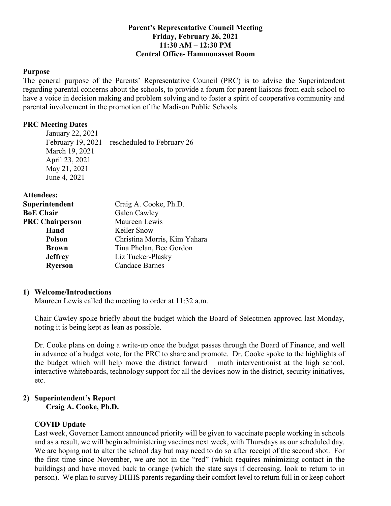### **Parent's Representative Council Meeting Friday, February 26, 2021 11:30 AM – 12:30 PM Central Office- Hammonasset Room**

#### **Purpose**

 The general purpose of the Parents' Representative Council (PRC) is to advise the Superintendent regarding parental concerns about the schools, to provide a forum for parent liaisons from each school to have a voice in decision making and problem solving and to foster a spirit of cooperative community and parental involvement in the promotion of the Madison Public Schools.

### **PRC Meeting Dates**

 January 22, 2021 February 19, 2021 – rescheduled to February 26 March 19, 2021 April 23, 2021 May 21, 2021 June 4, 2021

**Attendees:** 

| Superintendent         | Craig A. Cooke, Ph.D.        |
|------------------------|------------------------------|
| <b>BoE Chair</b>       | Galen Cawley                 |
| <b>PRC Chairperson</b> | Maureen Lewis                |
| Hand                   | Keiler Snow                  |
| <b>Polson</b>          | Christina Morris, Kim Yahara |
| <b>Brown</b>           | Tina Phelan, Bee Gordon      |
| <b>Jeffrey</b>         | Liz Tucker-Plasky            |
| <b>Ryerson</b>         | <b>Candace Barnes</b>        |

### **1) Welcome/Introductions**

Maureen Lewis called the meeting to order at 11:32 a.m.

 Chair Cawley spoke briefly about the budget which the Board of Selectmen approved last Monday, noting it is being kept as lean as possible.

 Dr. Cooke plans on doing a write-up once the budget passes through the Board of Finance, and well in advance of a budget vote, for the PRC to share and promote. Dr. Cooke spoke to the highlights of the budget which will help move the district forward – math interventionist at the high school, interactive whiteboards, technology support for all the devices now in the district, security initiatives, etc.

### **2) Superintendent's Report Craig A. Cooke, Ph.D.**

### **COVID Update**

 Last week, Governor Lamont announced priority will be given to vaccinate people working in schools and as a result, we will begin administering vaccines next week, with Thursdays as our scheduled day. We are hoping not to alter the school day but may need to do so after receipt of the second shot. For the first time since November, we are not in the "red" (which requires minimizing contact in the buildings) and have moved back to orange (which the state says if decreasing, look to return to in person). We plan to survey DHHS parents regarding their comfort level to return full in or keep cohort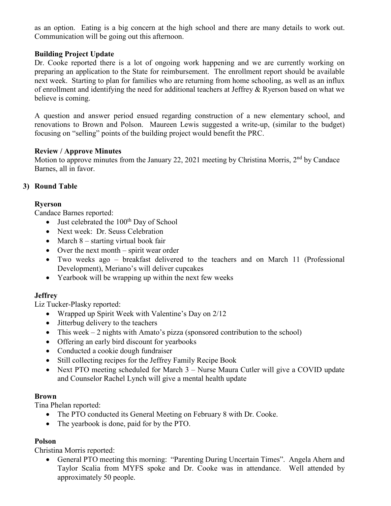as an option. Eating is a big concern at the high school and there are many details to work out. Communication will be going out this afternoon.

# **Building Project Update**

 Dr. Cooke reported there is a lot of ongoing work happening and we are currently working on preparing an application to the State for reimbursement. The enrollment report should be available next week. Starting to plan for families who are returning from home schooling, as well as an influx of enrollment and identifying the need for additional teachers at Jeffrey & Ryerson based on what we believe is coming.

 A question and answer period ensued regarding construction of a new elementary school, and renovations to Brown and Polson. Maureen Lewis suggested a write-up, (similar to the budget) focusing on "selling" points of the building project would benefit the PRC.

# **Review / Approve Minutes**

Motion to approve minutes from the January 22, 2021 meeting by Christina Morris, 2<sup>nd</sup> by Candace Barnes, all in favor.

# **3) Round Table**

# **Ryerson**

Candace Barnes reported:

- Just celebrated the  $100<sup>th</sup>$  Day of School
- Next week: Dr. Seuss Celebration
- March 8 starting virtual book fair
- Over the next month spirit wear order
- • Two weeks ago breakfast delivered to the teachers and on March 11 (Professional Development), Meriano's will deliver cupcakes
- Yearbook will be wrapping up within the next few weeks

# **Jeffrey**

Liz Tucker-Plasky reported:

- Wrapped up Spirit Week with Valentine's Day on 2/12
- Jitterbug delivery to the teachers
- This week 2 nights with Amato's pizza (sponsored contribution to the school)
- Offering an early bird discount for yearbooks
- Conducted a cookie dough fundraiser
- Still collecting recipes for the Jeffrey Family Recipe Book
- Next PTO meeting scheduled for March 3 Nurse Maura Cutler will give a COVID update and Counselor Rachel Lynch will give a mental health update

## **Brown**

Tina Phelan reported:

- The PTO conducted its General Meeting on February 8 with Dr. Cooke.
- The yearbook is done, paid for by the PTO.

# **Polson**

Christina Morris reported:

 • General PTO meeting this morning: "Parenting During Uncertain Times". Angela Ahern and Taylor Scalia from MYFS spoke and Dr. Cooke was in attendance. Well attended by approximately 50 people.